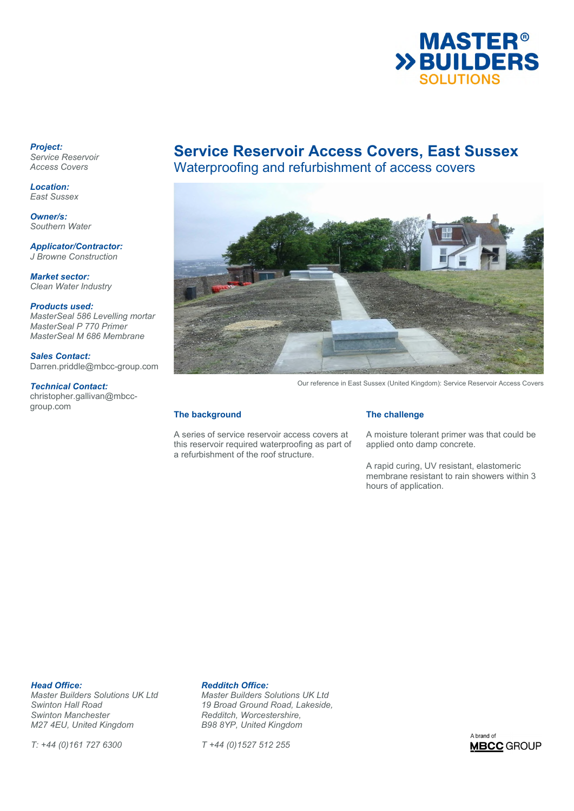

*Project: Service Reservoir Access Covers* 

*Location: East Sussex* 

*Owner/s: Southern Water* 

*Applicator/Contractor: J Browne Construction* 

*Market sector: Clean Water Industry* 

*Products used: MasterSeal 586 Levelling mortar MasterSeal P 770 Primer MasterSeal M 686 Membrane* 

*Sales Contact:*  Darren.priddle@mbcc-group.com

*Technical Contact:*  christopher.gallivan@mbccgroup.com

# **Service Reservoir Access Covers, East Sussex**

Waterproofing and refurbishment of access covers



Our reference in East Sussex (United Kingdom): Service Reservoir Access Covers

## **The background**

A series of service reservoir access covers at this reservoir required waterproofing as part of a refurbishment of the roof structure.

## **The challenge**

A moisture tolerant primer was that could be applied onto damp concrete.

A rapid curing, UV resistant, elastomeric membrane resistant to rain showers within 3 hours of application.

**Head Office: Redditch Office:**<br> *Master Builders Solutions UK Ltd* Master Builders S *Swinton Manchester Redditch, Worcestershire, M27 4EU, United Kingdom* 

*T: +44 (0)161 727 6300 T +44 (0)1527 512 255* 

*Master Builders Solutions UK Ltd Master Builders Solutions UK Ltd Swinton Hall Road 19 Broad Ground Road, Lakeside,* 

A brand of **MBCC** GROUP